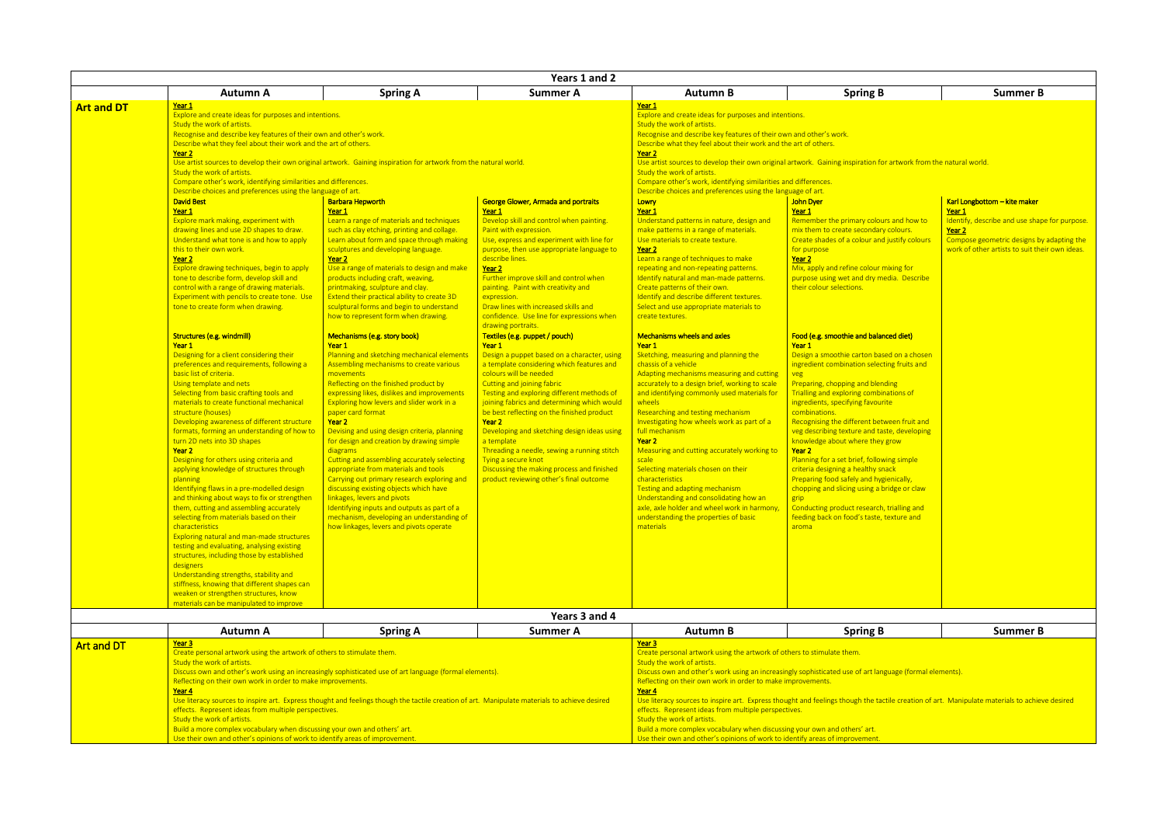| В                                          | <b>Summer B</b>                                         |
|--------------------------------------------|---------------------------------------------------------|
|                                            |                                                         |
|                                            |                                                         |
|                                            |                                                         |
|                                            |                                                         |
| <u>for artwork from the natural world.</u> |                                                         |
|                                            |                                                         |
|                                            |                                                         |
|                                            | Karl Longbottom - kite maker                            |
| ours and how to                            | Year 1<br>Identify, describe and use shape for purpose. |
| ry colours.                                | Year <sub>2</sub>                                       |
| nd justify colours                         | Compose geometric designs by adapting the               |
|                                            | work of other artists to suit their own ideas.          |
| mixing for                                 |                                                         |
| nedia. Describe                            |                                                         |
|                                            |                                                         |
|                                            |                                                         |
|                                            |                                                         |
| <mark>anced diet)</mark>                   |                                                         |
|                                            |                                                         |
| ased on a chosen                           |                                                         |
| cting fruits and                           |                                                         |
| nding!                                     |                                                         |
| pinations of                               |                                                         |
| <u>urite</u>                               |                                                         |
| etween fruit and                           |                                                         |
| aste, developing                           |                                                         |
| ey grow                                    |                                                         |
| wing simple                                |                                                         |
| <mark>snack</mark>                         |                                                         |
| ygienically,<br>bridge or claw             |                                                         |
|                                            |                                                         |
| h, trialling and                           |                                                         |
| e, texture and                             |                                                         |
|                                            |                                                         |
|                                            |                                                         |
|                                            |                                                         |
|                                            |                                                         |
|                                            |                                                         |
|                                            |                                                         |
|                                            |                                                         |
| В                                          | <b>Summer B</b>                                         |
|                                            |                                                         |

ile creation of art. Manipulate materials to achieve desired

|                   |                                                                                                                                                                                                                                                                                                                                                                                                                                                                                                                                                                                                                                                                                                                                                                                                                                                                                                                                                                                                                                                                                                                                            |                                                                                                                                                                                                                                                                                                                                                                                                                                                                                                                                                                                                                                                                                                                                                                                                                                                                | Years 1 and 2                                                                                                                                                                                                                                                                                                                                                                                                                                                                                                                                                                                                                                                                                              |                                                                                                                                                                                                                                                                                                                                                                                                                                                                                                                                                                                                                                                                                                                                                                                                                                                                                                                                                                                                                                                                                                                            |                                                                                                                                                                                                                                                                                                                                                                                                                                                                                                                                                                                                                                                                   |                                                                                                                                                          |
|-------------------|--------------------------------------------------------------------------------------------------------------------------------------------------------------------------------------------------------------------------------------------------------------------------------------------------------------------------------------------------------------------------------------------------------------------------------------------------------------------------------------------------------------------------------------------------------------------------------------------------------------------------------------------------------------------------------------------------------------------------------------------------------------------------------------------------------------------------------------------------------------------------------------------------------------------------------------------------------------------------------------------------------------------------------------------------------------------------------------------------------------------------------------------|----------------------------------------------------------------------------------------------------------------------------------------------------------------------------------------------------------------------------------------------------------------------------------------------------------------------------------------------------------------------------------------------------------------------------------------------------------------------------------------------------------------------------------------------------------------------------------------------------------------------------------------------------------------------------------------------------------------------------------------------------------------------------------------------------------------------------------------------------------------|------------------------------------------------------------------------------------------------------------------------------------------------------------------------------------------------------------------------------------------------------------------------------------------------------------------------------------------------------------------------------------------------------------------------------------------------------------------------------------------------------------------------------------------------------------------------------------------------------------------------------------------------------------------------------------------------------------|----------------------------------------------------------------------------------------------------------------------------------------------------------------------------------------------------------------------------------------------------------------------------------------------------------------------------------------------------------------------------------------------------------------------------------------------------------------------------------------------------------------------------------------------------------------------------------------------------------------------------------------------------------------------------------------------------------------------------------------------------------------------------------------------------------------------------------------------------------------------------------------------------------------------------------------------------------------------------------------------------------------------------------------------------------------------------------------------------------------------------|-------------------------------------------------------------------------------------------------------------------------------------------------------------------------------------------------------------------------------------------------------------------------------------------------------------------------------------------------------------------------------------------------------------------------------------------------------------------------------------------------------------------------------------------------------------------------------------------------------------------------------------------------------------------|----------------------------------------------------------------------------------------------------------------------------------------------------------|
|                   | <b>Autumn A</b>                                                                                                                                                                                                                                                                                                                                                                                                                                                                                                                                                                                                                                                                                                                                                                                                                                                                                                                                                                                                                                                                                                                            | <b>Spring A</b>                                                                                                                                                                                                                                                                                                                                                                                                                                                                                                                                                                                                                                                                                                                                                                                                                                                | <b>Summer A</b>                                                                                                                                                                                                                                                                                                                                                                                                                                                                                                                                                                                                                                                                                            | <b>Autumn B</b>                                                                                                                                                                                                                                                                                                                                                                                                                                                                                                                                                                                                                                                                                                                                                                                                                                                                                                                                                                                                                                                                                                            | <b>Spring B</b>                                                                                                                                                                                                                                                                                                                                                                                                                                                                                                                                                                                                                                                   | <b>Summer B</b>                                                                                                                                          |
| <b>Art and DT</b> | Year 1<br>Explore and create ideas for purposes and intentions.<br>Study the work of artists.<br>Recognise and describe key features of their own and other's work.<br>Describe what they feel about their work and the art of others.<br>Year <sub>2</sub><br>Study the work of artists.<br>Compare other's work, identifying similarities and differences.<br>Describe choices and preferences using the language of art.<br><b>David Best</b><br>Year 1<br>Explore mark making, experiment with<br>drawing lines and use 2D shapes to draw.<br>Understand what tone is and how to apply<br>this to their own work.<br>Year 2<br>Explore drawing techniques, begin to apply<br>tone to describe form, develop skill and<br>control with a range of drawing materials.<br>Experiment with pencils to create tone. Use<br>tone to create form when drawing.<br>Structures (e.g. windmill)<br>Year 1<br>Designing for a client considering their<br>preferences and requirements, following a<br>basic list of criteria.<br>Using template and nets<br>Selecting from basic crafting tools and<br>materials to create functional mechanical | Use artist sources to develop their own original artwork. Gaining inspiration for artwork from the natural world.<br><b>Barbara Hepworth</b><br>Year 1<br>Learn a range of materials and techniques<br>such as clay etching, printing and collage.<br>Learn about form and space through making<br>sculptures and developing language.<br>Year <sub>2</sub><br>Use a range of materials to design and make<br>products including craft, weaving,<br>printmaking, sculpture and clay.<br>Extend their practical ability to create 3D<br>sculptural forms and begin to understand<br>how to represent form when drawing.<br>Mechanisms (e.g. story book)<br>Year 1<br>Planning and sketching mechanical elements<br>Assembling mechanisms to create various<br>movements<br>Reflecting on the finished product by<br>expressing likes, dislikes and improvements | <b>George Glower, Armada and portraits</b><br>Year 1<br>Develop skill and control when painting.<br>Paint with expression.<br>Use, express and experiment with line for<br>purpose, then use appropriate language to<br>describe lines.<br>Year 2<br>Further improve skill and control when<br>painting. Paint with creativity and<br>expression.<br>Draw lines with increased skills and<br>confidence. Use line for expressions when<br>drawing portraits.<br>Textiles (e.g. puppet / pouch)<br>Year 1<br>Design a puppet based on a character, using<br>a template considering which features and<br>colours will be needed<br>Cutting and joining fabric<br>Testing and exploring different methods of | Year 1<br>Explore and create ideas for purposes and intentions.<br>Study the work of artists.<br>Recognise and describe key features of their own and other's work.<br>Describe what they feel about their work and the art of others.<br>Year <sub>2</sub><br>Study the work of artists.<br>Compare other's work, identifying similarities and differences.<br>Describe choices and preferences using the language of art.<br>Lowry<br>Year 1<br>Understand patterns in nature, design and<br>make patterns in a range of materials.<br>Use materials to create texture.<br>Year 2<br>Learn a range of techniques to make<br>repeating and non-repeating patterns.<br>Identify natural and man-made patterns.<br>Create patterns of their own.<br>Identify and describe different textures.<br>Select and use appropriate materials to<br>create textures.<br><b>Mechanisms wheels and axles</b><br>Year 1<br>Sketching, measuring and planning the<br>chassis of a vehicle<br>Adapting mechanisms measuring and cutting<br>accurately to a design brief, working to scale<br>and identifying commonly used materials for | Use artist sources to develop their own original artwork. Gaining inspiration for artwork from the natural world.<br>John Dyer<br>Year 1<br>Remember the primary colours and how to<br>mix them to create secondary colours.<br>Create shades of a colour and justify colours<br>for purpose<br>Year 2<br>Mix, apply and refine colour mixing for<br>purpose using wet and dry media. Describe<br>their colour selections.<br>Food (e.g. smoothie and balanced diet)<br>Year 1<br>Design a smoothie carton based on a chosen<br>ingredient combination selecting fruits and<br>veg<br>Preparing, chopping and blending<br>Trialling and exploring combinations of | Karl Longbottom - kite maker<br>Year 1<br>Identify, describe and use shap<br>Year 2<br>Compose geometric designs by<br>work of other artists to suit the |
|                   | structure (houses)<br>Developing awareness of different structure<br>formats, forming an understanding of how to<br>turn 2D nets into 3D shapes<br>Year <sub>2</sub><br>Designing for others using criteria and<br>applying knowledge of structures through<br>planning<br>Identifying flaws in a pre-modelled design<br>and thinking about ways to fix or strengthen<br>them, cutting and assembling accurately<br>selecting from materials based on their<br>characteristics<br>Exploring natural and man-made structures<br>testing and evaluating, analysing existing<br>structures, including those by established<br>designers<br>Understanding strengths, stability and<br>stiffness, knowing that different shapes can<br>weaken or strengthen structures, know<br>materials can be manipulated to improve                                                                                                                                                                                                                                                                                                                         | Exploring how levers and slider work in a<br>paper card format<br>Year 2<br>Devising and using design criteria, planning<br>for design and creation by drawing simple<br>diagrams<br>Cutting and assembling accurately selecting<br>appropriate from materials and tools<br>Carrying out primary research exploring and<br>discussing existing objects which have<br>linkages, levers and pivots<br>Identifying inputs and outputs as part of a<br>mechanism, developing an understanding of<br>how linkages, levers and pivots operate                                                                                                                                                                                                                                                                                                                        | joining fabrics and determining which would<br>be best reflecting on the finished product<br>Year 2<br>Developing and sketching design ideas using<br>a template<br>Threading a needle, sewing a running stitch<br>Tying a secure knot<br>Discussing the making process and finished<br>product reviewing other's final outcome                                                                                                                                                                                                                                                                                                                                                                            | wheels<br>Researching and testing mechanism<br>Investigating how wheels work as part of a<br>full mechanism<br>Year 2<br>Measuring and cutting accurately working to<br>scale<br>Selecting materials chosen on their<br>characteristics<br>Testing and adapting mechanism<br>Understanding and consolidating how an<br>axle, axle holder and wheel work in harmony,<br>understanding the properties of basic<br>materials                                                                                                                                                                                                                                                                                                                                                                                                                                                                                                                                                                                                                                                                                                  | ingredients, specifying favourite<br>combinations.<br>Recognising the different between fruit and<br>veg describing texture and taste, developing<br>knowledge about where they grow<br>Year 2<br>Planning for a set brief, following simple<br>criteria designing a healthy snack<br>Preparing food safely and hygienically,<br>chopping and slicing using a bridge or claw<br>grip<br>Conducting product research, trialling and<br>feeding back on food's taste, texture and<br>aroma                                                                                                                                                                          |                                                                                                                                                          |
|                   |                                                                                                                                                                                                                                                                                                                                                                                                                                                                                                                                                                                                                                                                                                                                                                                                                                                                                                                                                                                                                                                                                                                                            |                                                                                                                                                                                                                                                                                                                                                                                                                                                                                                                                                                                                                                                                                                                                                                                                                                                                | Years 3 and 4                                                                                                                                                                                                                                                                                                                                                                                                                                                                                                                                                                                                                                                                                              |                                                                                                                                                                                                                                                                                                                                                                                                                                                                                                                                                                                                                                                                                                                                                                                                                                                                                                                                                                                                                                                                                                                            |                                                                                                                                                                                                                                                                                                                                                                                                                                                                                                                                                                                                                                                                   |                                                                                                                                                          |
|                   | <b>Autumn A</b>                                                                                                                                                                                                                                                                                                                                                                                                                                                                                                                                                                                                                                                                                                                                                                                                                                                                                                                                                                                                                                                                                                                            | <b>Spring A</b>                                                                                                                                                                                                                                                                                                                                                                                                                                                                                                                                                                                                                                                                                                                                                                                                                                                | <b>Summer A</b>                                                                                                                                                                                                                                                                                                                                                                                                                                                                                                                                                                                                                                                                                            | <b>Autumn B</b>                                                                                                                                                                                                                                                                                                                                                                                                                                                                                                                                                                                                                                                                                                                                                                                                                                                                                                                                                                                                                                                                                                            | <b>Spring B</b>                                                                                                                                                                                                                                                                                                                                                                                                                                                                                                                                                                                                                                                   | <b>Summer B</b>                                                                                                                                          |
| <b>Art and DT</b> | Year 3<br>Create personal artwork using the artwork of others to stimulate them.<br>Study the work of artists.<br>Reflecting on their own work in order to make improvements.<br>Year 4<br>effects. Represent ideas from multiple perspectives.                                                                                                                                                                                                                                                                                                                                                                                                                                                                                                                                                                                                                                                                                                                                                                                                                                                                                            | Discuss own and other's work using an increasingly sophisticated use of art language (formal elements).<br>Use literacy sources to inspire art. Express thought and feelings though the tactile creation of art. Manipulate materials to achieve desired                                                                                                                                                                                                                                                                                                                                                                                                                                                                                                                                                                                                       |                                                                                                                                                                                                                                                                                                                                                                                                                                                                                                                                                                                                                                                                                                            | Year 3<br>Create personal artwork using the artwork of others to stimulate them.<br>Study the work of artists.<br>Reflecting on their own work in order to make improvements.<br>Year 4<br>effects. Represent ideas from multiple perspectives.                                                                                                                                                                                                                                                                                                                                                                                                                                                                                                                                                                                                                                                                                                                                                                                                                                                                            | Discuss own and other's work using an increasingly sophisticated use of art language (formal elements).<br>Use literacy sources to inspire art. Express thought and feelings though the tactile creation of art. Manipulate materials to achier                                                                                                                                                                                                                                                                                                                                                                                                                   |                                                                                                                                                          |

Study the work of artists.

Build a more complex vocabulary when discussing your own and others' art. Use their own and other's opinions of work to identify areas of improvement. Study the work of artists. Build a more complex vocabulary when discussing your own and others' art. Use their own and other's opinions of work to identify areas of improvement.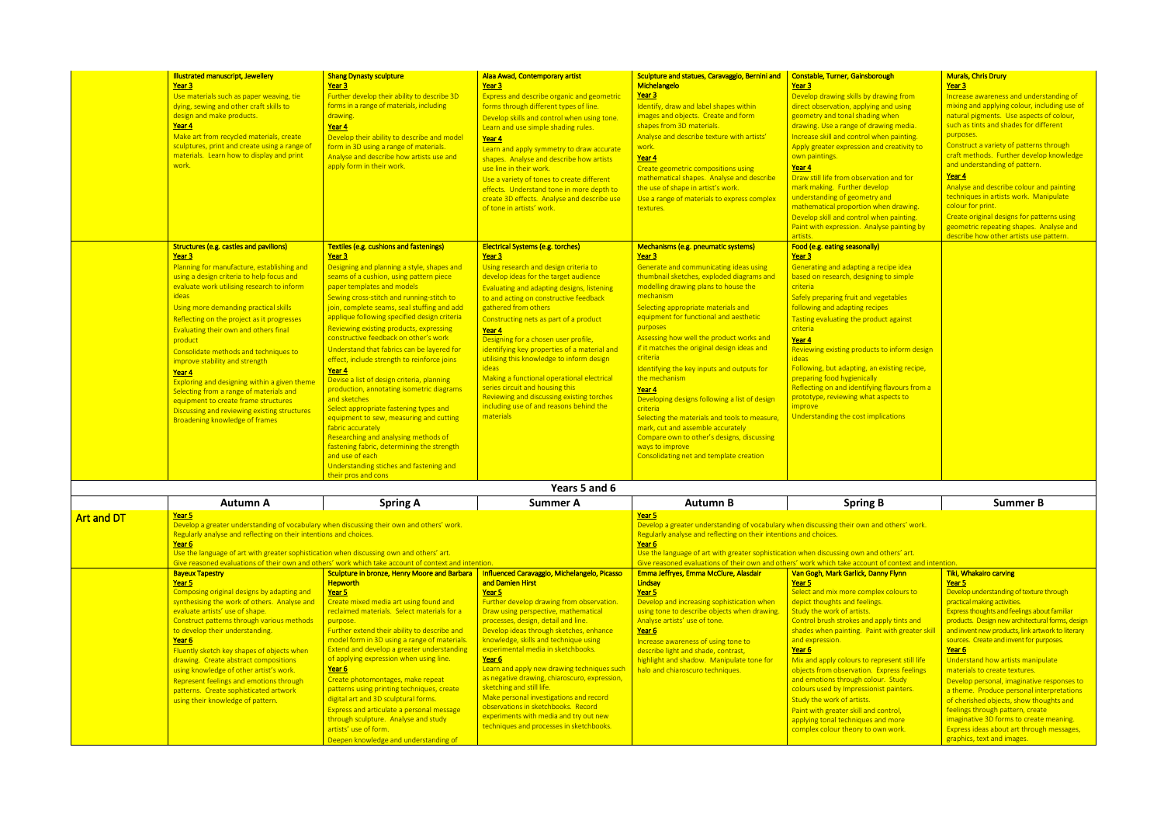| ough                                                                              | <b>Murals, Chris Drury</b><br>Year <sub>3</sub>                                                                                                                                                                                                                                                                    |
|-----------------------------------------------------------------------------------|--------------------------------------------------------------------------------------------------------------------------------------------------------------------------------------------------------------------------------------------------------------------------------------------------------------------|
| awing from<br>and using<br>when<br>ving media.<br>en painting.<br>d creativity to | Increase awareness and understanding of<br>mixing and applying colour, including use of<br>natural pigments. Use aspects of colour,<br>such as tints and shades for different<br>purposes.<br>Construct a variety of patterns through<br>craft methods. Further develop knowledge<br>and understanding of pattern. |
| on and for<br>op<br>and<br>nen drawing.<br>en painting.<br>se painting by         | Year 4<br>Analyse and describe colour and painting<br>techniques in artists work. Manipulate<br>colour for print.<br>Create original designs for patterns using<br>geometric repeating shapes. Analyse and<br>describe how other artists use pattern.                                                              |
| <u>ecipe idea</u><br>g to simple<br>getables<br>es<br><u>ict against</u>          |                                                                                                                                                                                                                                                                                                                    |
| to inform design<br>existing recipe,                                              |                                                                                                                                                                                                                                                                                                                    |
| <u>र flavours from a</u><br>spects to                                             |                                                                                                                                                                                                                                                                                                                    |
| lications                                                                         |                                                                                                                                                                                                                                                                                                                    |
|                                                                                   |                                                                                                                                                                                                                                                                                                                    |

| c' work |  |  |
|---------|--|--|

Fluently sketch key shapes of objects when drawing. Create abstract compositions using knowledge of other artist's work. Represent feelings and emotions through patterns. Create sophisticated artwork using their knowledge of pattern.

Year 6

describe light and shade, contrast, highlight and shadow. Manipulate tone for halo and chiaroscuro techniques.

Mix and apply colours to rep objects from observation. Ex and emotions through colour colours used by Impressionis Study the work of artists. Paint with greater skill and co applying tonal techniques an complex colour theory to ow

Extend and develop a greater understanding of applying expression when using line.

> **Make personal investigations and record** observations in sketchbooks. Record experiments with media and try out new techniques and processes in sketchbooks.

Year 6

|                   | <b>Illustrated manuscript, Jewellery</b><br>Year 3                                        | <b>Shang Dynasty sculpture</b><br>Year 3                                                             | Alaa Awad, Contemporary artist<br>Year 3                                                 | Sculpture and statues, Caravaggio, Bernini and<br>Michelangelo                                                | Constable, Turner, Gainsborough<br>Year 3                                                            | Murals, Chris Drury<br>Year 3                                    |
|-------------------|-------------------------------------------------------------------------------------------|------------------------------------------------------------------------------------------------------|------------------------------------------------------------------------------------------|---------------------------------------------------------------------------------------------------------------|------------------------------------------------------------------------------------------------------|------------------------------------------------------------------|
|                   | Use materials such as paper weaving, tie                                                  | Further develop their ability to describe 3D                                                         | Express and describe organic and geometric                                               | Year 3                                                                                                        | Develop drawing skills by drawing from                                                               | Increase awareness and under                                     |
|                   | dying, sewing and other craft skills to                                                   | forms in a range of materials, including                                                             | forms through different types of line.                                                   | Identify, draw and label shapes within                                                                        | direct observation, applying and using                                                               | mixing and applying colour, ind                                  |
|                   | design and make products.                                                                 | drawing.                                                                                             | Develop skills and control when using tone.                                              | images and objects. Create and form                                                                           | geometry and tonal shading when                                                                      | natural pigments. Use aspects                                    |
|                   | Year 4                                                                                    | Year 4                                                                                               | Learn and use simple shading rules.                                                      | shapes from 3D materials.                                                                                     | drawing. Use a range of drawing media.                                                               | such as tints and shades for dif                                 |
|                   | Make art from recycled materials, create                                                  | Develop their ability to describe and model                                                          | Year 4                                                                                   | Analyse and describe texture with artists'                                                                    | Increase skill and control when painting.                                                            | purposes.                                                        |
|                   | sculptures, print and create using a range of                                             | form in 3D using a range of materials.                                                               | Learn and apply symmetry to draw accurate                                                | <u>work.</u>                                                                                                  | Apply greater expression and creativity to                                                           | Construct a variety of patterns<br>craft methods. Further develo |
|                   | materials. Learn how to display and print<br>work.                                        | Analyse and describe how artists use and                                                             | shapes. Analyse and describe how artists                                                 | Year 4                                                                                                        | own paintings.                                                                                       | and understanding of pattern.                                    |
|                   |                                                                                           | apply form in their work.                                                                            | use line in their work.                                                                  | Create geometric compositions using                                                                           | Year 4                                                                                               | Year 4                                                           |
|                   |                                                                                           |                                                                                                      | Use a variety of tones to create different                                               | mathematical shapes. Analyse and describe<br>the use of shape in artist's work.                               | Draw still life from observation and for<br>mark making. Further develop                             | Analyse and describe colour ar                                   |
|                   |                                                                                           |                                                                                                      | effects. Understand tone in more depth to<br>create 3D effects. Analyse and describe use | Use a range of materials to express complex                                                                   | understanding of geometry and                                                                        | techniques in artists work. Ma                                   |
|                   |                                                                                           |                                                                                                      | of tone in artists' work.                                                                | textures.                                                                                                     | mathematical proportion when drawing.                                                                | colour for print.                                                |
|                   |                                                                                           |                                                                                                      |                                                                                          |                                                                                                               | Develop skill and control when painting.                                                             | Create original designs for patt                                 |
|                   |                                                                                           |                                                                                                      |                                                                                          |                                                                                                               | Paint with expression. Analyse painting by<br>artists.                                               | geometric repeating shapes. A<br>describe how other artists use  |
|                   | Structures (e.g. castles and pavilions)                                                   | Textiles (e.g. cushions and fastenings)                                                              | <b>Electrical Systems (e.g. torches)</b>                                                 | Mechanisms (e.g. pneumatic systems)                                                                           | Food (e.g. eating seasonally)                                                                        |                                                                  |
|                   | Year 3                                                                                    | Year 3                                                                                               | Year 3                                                                                   | Year 3                                                                                                        | Year 3                                                                                               |                                                                  |
|                   | Planning for manufacture, establishing and                                                | Designing and planning a style, shapes and                                                           | Using research and design criteria to                                                    | Generate and communicating ideas using                                                                        | Generating and adapting a recipe idea                                                                |                                                                  |
|                   | using a design criteria to help focus and                                                 | seams of a cushion, using pattern piece                                                              | develop ideas for the target audience                                                    | thumbnail sketches, exploded diagrams and                                                                     | based on research, designing to simple                                                               |                                                                  |
|                   | evaluate work utilising research to inform                                                | paper templates and models                                                                           | Evaluating and adapting designs, listening                                               | modelling drawing plans to house the                                                                          | criteria                                                                                             |                                                                  |
|                   | ideas                                                                                     | Sewing cross-stitch and running-stitch to                                                            | to and acting on constructive feedback                                                   | mechanism                                                                                                     | Safely preparing fruit and vegetables                                                                |                                                                  |
|                   | Using more demanding practical skills                                                     | join, complete seams, seal stuffing and add<br>applique following specified design criteria          | gathered from others                                                                     | Selecting appropriate materials and<br>equipment for functional and aesthetic                                 | following and adapting recipes                                                                       |                                                                  |
|                   | Reflecting on the project as it progresses                                                |                                                                                                      | Constructing nets as part of a product                                                   | purposes                                                                                                      | Tasting evaluating the product against                                                               |                                                                  |
|                   | Evaluating their own and others final                                                     | Reviewing existing products, expressing<br>constructive feedback on other's work                     | Year 4<br>Designing for a chosen user profile,                                           | Assessing how well the product works and                                                                      | criteria<br>Year 4                                                                                   |                                                                  |
|                   | product                                                                                   | Understand that fabrics can be layered for                                                           | identifying key properties of a material and                                             | if it matches the original design ideas and                                                                   | Reviewing existing products to inform design                                                         |                                                                  |
|                   | Consolidate methods and techniques to                                                     | effect, include strength to reinforce joins                                                          | utilising this knowledge to inform design                                                | <b>criteria</b>                                                                                               | ideas                                                                                                |                                                                  |
|                   | improve stability and strength                                                            | Year 4                                                                                               | ideas                                                                                    | Identifying the key inputs and outputs for                                                                    | Following, but adapting, an existing recipe,                                                         |                                                                  |
|                   | Year 4<br>Exploring and designing within a given theme                                    | Devise a list of design criteria, planning                                                           | Making a functional operational electrical                                               | the mechanism                                                                                                 | preparing food hygienically                                                                          |                                                                  |
|                   | Selecting from a range of materials and                                                   | production, annotating isometric diagrams                                                            | series circuit and housing this                                                          | Year 4                                                                                                        | Reflecting on and identifying flavours from a                                                        |                                                                  |
|                   | equipment to create frame structures                                                      | and sketches                                                                                         | Reviewing and discussing existing torches                                                | Developing designs following a list of design                                                                 | prototype, reviewing what aspects to                                                                 |                                                                  |
|                   | Discussing and reviewing existing structures                                              | Select appropriate fastening types and                                                               | including use of and reasons behind the                                                  | criteria                                                                                                      | <i>improve</i>                                                                                       |                                                                  |
|                   | Broadening knowledge of frames                                                            | equipment to sew, measuring and cutting                                                              | materials                                                                                | Selecting the materials and tools to measure                                                                  | Understanding the cost implications                                                                  |                                                                  |
|                   |                                                                                           | fabric accurately                                                                                    |                                                                                          | mark, cut and assemble accurately                                                                             |                                                                                                      |                                                                  |
|                   |                                                                                           | Researching and analysing methods of                                                                 |                                                                                          | Compare own to other's designs, discussing                                                                    |                                                                                                      |                                                                  |
|                   |                                                                                           | fastening fabric, determining the strength<br>and use of each                                        |                                                                                          | ways to improve<br>Consolidating net and template creation                                                    |                                                                                                      |                                                                  |
|                   |                                                                                           | Understanding stiches and fastening and                                                              |                                                                                          |                                                                                                               |                                                                                                      |                                                                  |
|                   |                                                                                           | their pros and cons                                                                                  |                                                                                          |                                                                                                               |                                                                                                      |                                                                  |
|                   |                                                                                           |                                                                                                      | Years 5 and 6                                                                            |                                                                                                               |                                                                                                      |                                                                  |
|                   | <b>Autumn A</b>                                                                           | <b>Spring A</b>                                                                                      | <b>Summer A</b>                                                                          | <b>Autumn B</b>                                                                                               | <b>Spring B</b>                                                                                      | <b>Summer B</b>                                                  |
| <b>Art and DT</b> | Year 5                                                                                    |                                                                                                      |                                                                                          | Year 5                                                                                                        |                                                                                                      |                                                                  |
|                   | Develop a greater understanding of vocabulary when discussing their own and others' work. |                                                                                                      |                                                                                          | Develop a greater understanding of vocabulary when discussing their own and others' work.                     |                                                                                                      |                                                                  |
|                   | Regularly analyse and reflecting on their intentions and choices.<br>Year <sub>6</sub>    |                                                                                                      |                                                                                          | Regularly analyse and reflecting on their intentions and choices.                                             |                                                                                                      |                                                                  |
|                   | Use the language of art with greater sophistication when discussing own and others' art.  |                                                                                                      |                                                                                          | Year <sub>6</sub><br>Use the language of art with greater sophistication when discussing own and others' art. |                                                                                                      |                                                                  |
|                   |                                                                                           | Give reasoned evaluations of their own and others' work which take account of context and intention. |                                                                                          |                                                                                                               | Give reasoned evaluations of their own and others' work which take account of context and intention. |                                                                  |
|                   | <b>Bayeux Tapestry</b>                                                                    | Sculpture in bronze, Henry Moore and Barbara                                                         | Influenced Caravaggio, Michelangelo, Picasso                                             | Emma Jeffryes, Emma McClure, Alasdair                                                                         | Van Gogh, Mark Garlick, Danny Flynn                                                                  | Tiki, Whakairo carving                                           |
|                   | Year 5                                                                                    | <b>Hepworth</b>                                                                                      | and Damien Hirst                                                                         | Lindsay                                                                                                       | Year 5                                                                                               | Year 5                                                           |
|                   | Composing original designs by adapting and                                                | Year 5                                                                                               | Year 5                                                                                   | Year 5                                                                                                        | Select and mix more complex colours to                                                               | Develop understanding of texture                                 |
|                   | synthesising the work of others. Analyse and                                              | Create mixed media art using found and                                                               | Further develop drawing from observation                                                 | Develop and increasing sophistication when                                                                    | depict thoughts and feelings.                                                                        | practical making activities.                                     |
|                   | evaluate artists' use of shape.                                                           | reclaimed materials. Select materials for a                                                          | Draw using perspective, mathematical                                                     | using tone to describe objects when drawing.                                                                  | Study the work of artists.                                                                           | <b>Express thoughts and feelings abd</b>                         |
|                   | Construct patterns through various methods                                                | purpose.                                                                                             | processes, design, detail and line.                                                      | Analyse artists' use of tone.                                                                                 | Control brush strokes and apply tints and                                                            | products. Design new architectur                                 |
|                   | to develop their understanding.                                                           | Further extend their ability to describe and                                                         | Develop ideas through sketches, enhance                                                  | Year <sub>6</sub>                                                                                             | shades when painting. Paint with greater skill                                                       | and invent new products, link arty                               |
|                   | Year 6                                                                                    | model form in 3D using a range of materials.                                                         | knowledge, skills and technique using                                                    | Increase awareness of using tone to                                                                           | and expression.                                                                                      | sources. Create and invent for pu                                |

Create photomontages, make repeat patterns using printing techniques, create digital art and 3D sculptural forms. Express and articulate a personal message through sculpture. Analyse and study

Deepen knowledge and understanding of

Year 6

artists' use of form.

experimental media in sketchbooks.

sketching and still life.

**Learn and apply new drawing techniques such** as negative drawing, chiaroscuro, expression,

| others' art.              |                                                     |
|---------------------------|-----------------------------------------------------|
| of context and intention. |                                                     |
| <mark>ny Flynn</mark>     | <b>Tiki, Whakairo carving</b>                       |
|                           | Year <sub>5</sub>                                   |
| x colours to              | Develop understanding of texture through            |
|                           | practical making activities.                        |
|                           | <b>Express thoughts and feelings about familiar</b> |
| ply tints and             | products. Design new architectural forms, design    |
| with greater skill        | and invent new products, link artwork to literary   |
|                           | sources. Create and invent for purposes.            |
|                           | Year <sub>6</sub>                                   |
| resent still life         | Understand how artists manipulate                   |
| <u>xpress feelings</u>    | materials to create textures.                       |
| r. Study                  | Develop personal, imaginative responses to          |
| t painters.               | a theme. Produce personal interpretations           |
|                           | of cherished objects, show thoughts and             |
| ontrol,                   | feelings through pattern, create                    |
| d more                    | imaginative 3D forms to create meaning.             |
| 'n work.                  | <b>Express ideas about art through messages,</b>    |
|                           | graphics, text and images.                          |